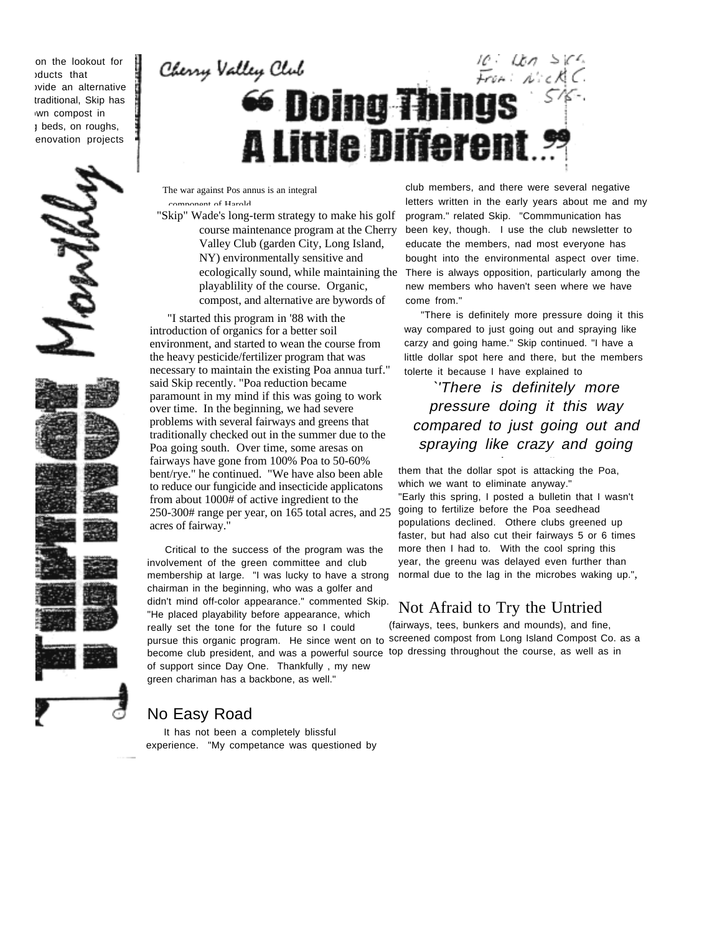on the lookout for oducts that ovide an alternative traditional, Skip has wn compost in g beds, on roughs, enovation projects



# Uch SKK Cherry Valley Club **← Doing Things A Little Different S**

The war against Pos annus is an integral component of Harold

"Skip" Wade's long-term strategy to make his golf course maintenance program at the Cherry Valley Club (garden City, Long Island, NY) environmentally sensitive and playablility of the course. Organic, compost, and alternative are bywords of

"I started this program in '88 with the introduction of organics for a better soil environment, and started to wean the course from the heavy pesticide/fertilizer program that was necessary to maintain the existing Poa annua turf." said Skip recently. "Poa reduction became paramount in my mind if this was going to work over time. In the beginning, we had severe problems with several fairways and greens that traditionally checked out in the summer due to the Poa going south. Over time, some aresas on fairways have gone from 100% Poa to 50-60% bent/rye." he continued. "We have also been able to reduce our fungicide and insecticide applicatons from about 1000# of active ingredient to the 250-300# range per year, on 165 total acres, and 25 acres of fairway."

become club president, and was a powerful source top dressing throughout the course, as well as in Critical to the success of the program was the involvement of the green committee and club membership at large. "I was lucky to have a strong chairman in the beginning, who was a golfer and didn't mind off-color appearance." commented Skip. "He placed playability before appearance, which really set the tone for the future so I could of support since Day One. Thankfully , my new green chariman has a backbone, as well."

# No Easy Road

It has not been a completely blissful experience. "My competance was questioned by

ecologically sound, while maintaining the There is always opposition, particularly among the club members, and there were several negative letters written in the early years about me and my program." related Skip. "Commmunication has been key, though. I use the club newsletter to educate the members, nad most everyone has bought into the environmental aspect over time. new members who haven't seen where we have come from."

> "There is definitely more pressure doing it this way compared to just going out and spraying like carzy and going hame." Skip continued. "I have a little dollar spot here and there, but the members tolerte it because I have explained to

### `'There is definitely more pressure doing it this way compared to just going out and spraying like crazy and going

them that the dollar spot is attacking the Poa, which we want to eliminate anyway." "Early this spring, I posted a bulletin that I wasn't going to fertilize before the Poa seedhead populations declined. Othere clubs greened up faster, but had also cut their fairways 5 or 6 times more then I had to. With the cool spring this year, the greenu was delayed even further than normal due to the lag in the microbes waking up.",

# Not Afraid to Try the Untried

(fairways, tees, bunkers and mounds), and fine, pursue this organic program. He since went on to screened compost from Long Island Compost Co. as a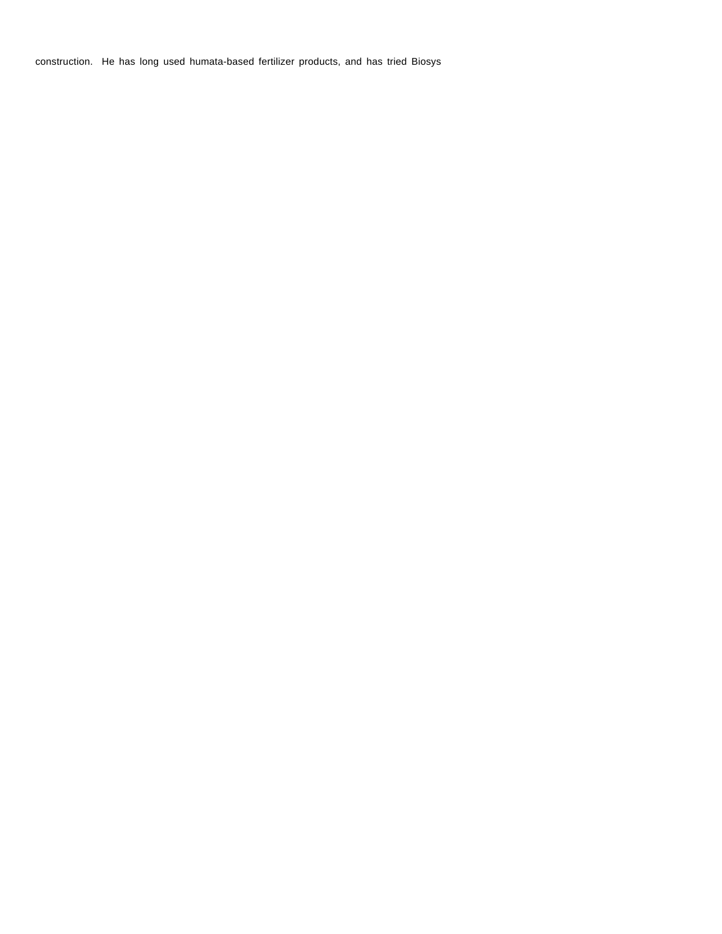construction. He has long used humata-based fertilizer products, and has tried Biosys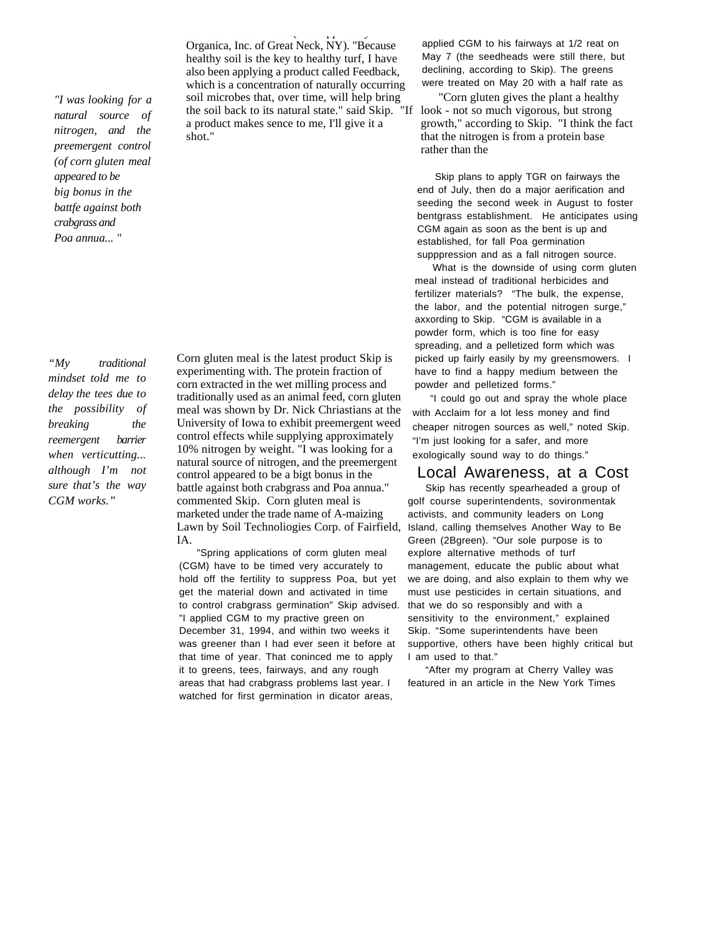*"I was looking for a natural source of nitrogen, and the preemergent control (of corn gluten meal appeared to be big bonus in the battfe against both crabgrass and Poa annua... "*

*"My traditional mindset told me to delay the tees due to the possibility of breaking the reemergent barrier when verticutting... although I'm not sure that's the way CGM works."*

Organica, Inc. of Great Neck, NY). "Because healthy soil is the key to healthy turf, I have also been applying a product called Feedback, which is a concentration of naturally occurring soil microbes that, over time, will help bring the soil back to its natural state." said Skip. "If look - not so much vigorous, but strong a product makes sence to me, I'll give it a shot."

the Neem tree n India a (and supple ed by

Corn gluten meal is the latest product Skip is experimenting with. The protein fraction of corn extracted in the wet milling process and traditionally used as an animal feed, corn gluten meal was shown by Dr. Nick Chriastians at the University of Iowa to exhibit preemergent weed control effects while supplying approximately 10% nitrogen by weight. "I was looking for a natural source of nitrogen, and the preemergent control appeared to be a bigt bonus in the battle against both crabgrass and Poa annua." commented Skip. Corn gluten meal is marketed under the trade name of A-maizing Lawn by Soil Technoliogies Corp. of Fairfield, Island, calling themselves Another Way to Be IA.

"Spring applications of corm gluten meal (CGM) have to be timed very accurately to hold off the fertility to suppress Poa, but yet get the material down and activated in time to control crabgrass germination" Skip advised. "I applied CGM to my practive green on December 31, 1994, and within two weeks it was greener than I had ever seen it before at that time of year. That coninced me to apply it to greens, tees, fairways, and any rough areas that had crabgrass problems last year. I watched for first germination in dicator areas,

applied CGM to his fairways at 1/2 reat on May 7 (the seedheads were still there, but declining, according to Skip). The greens were treated on May 20 with a half rate as

"Corn gluten gives the plant a healthy growth," according to Skip. "I think the fact that the nitrogen is from a protein base rather than the

Skip plans to apply TGR on fairways the end of July, then do a major aerification and seeding the second week in August to foster bentgrass establishment. He anticipates using CGM again as soon as the bent is up and established, for fall Poa germination supppression and as a fall nitrogen source.

What is the downside of using corm gluten meal instead of traditional herbicides and fertilizer materials? "The bulk, the expense, the labor, and the potential nitrogen surge," axxording to Skip. "CGM is available in a powder form, which is too fine for easy spreading, and a pelletized form which was picked up fairly easily by my greensmowers. I have to find a happy medium between the powder and pelletized forms."

"I could go out and spray the whole place with Acclaim for a lot less money and find cheaper nitrogen sources as well," noted Skip. "I'm just looking for a safer, and more exologically sound way to do things."

#### Local Awareness, at a Cost

Skip has recently spearheaded a group of golf course superintendents, sovironmentak activists, and community leaders on Long Green (2Bgreen). "Our sole purpose is to explore alternative methods of turf management, educate the public about what we are doing, and also explain to them why we must use pesticides in certain situations, and that we do so responsibly and with a sensitivity to the environment," explained Skip. "Some superintendents have been supportive, others have been highly critical but I am used to that."

"After my program at Cherry Valley was featured in an article in the New York Times